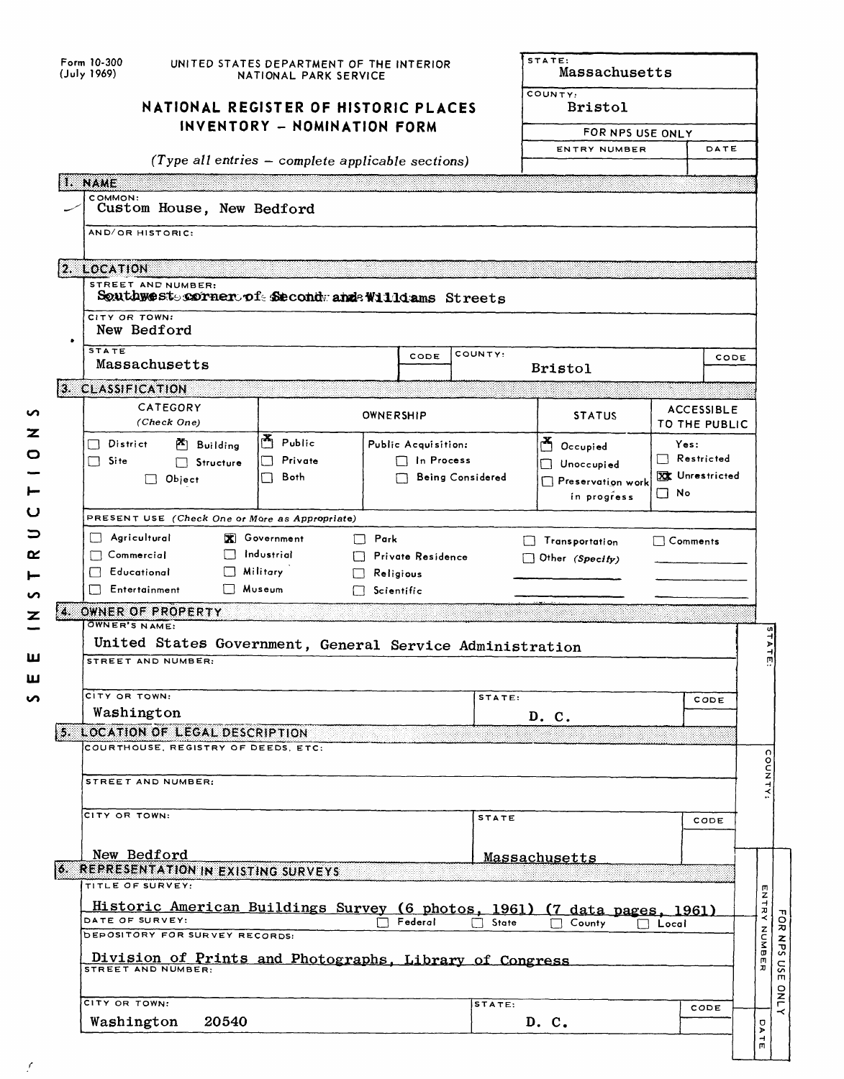| Form 10-300<br>UNITED STATES DEPARTMENT OF THE INTERIOR<br>(July 1969)<br>NATIONAL PARK SERVICE |                                                                                                                                                                      |                                                     |                     |                      |                                | Massachusetts                                        |                                      |      |             |  |  |  |
|-------------------------------------------------------------------------------------------------|----------------------------------------------------------------------------------------------------------------------------------------------------------------------|-----------------------------------------------------|---------------------|----------------------|--------------------------------|------------------------------------------------------|--------------------------------------|------|-------------|--|--|--|
|                                                                                                 | NATIONAL REGISTER OF HISTORIC PLACES<br>INVENTORY - NOMINATION FORM                                                                                                  | COUNTY:<br><b>Bristol</b><br>FOR NPS USE ONLY       |                     |                      |                                |                                                      |                                      |      |             |  |  |  |
|                                                                                                 |                                                                                                                                                                      |                                                     |                     | ENTRY NUMBER<br>DATE |                                |                                                      |                                      |      |             |  |  |  |
|                                                                                                 |                                                                                                                                                                      | (Type all entries $-$ complete applicable sections) |                     |                      |                                |                                                      |                                      |      |             |  |  |  |
|                                                                                                 | 1. NAME                                                                                                                                                              |                                                     |                     |                      |                                |                                                      |                                      |      |             |  |  |  |
|                                                                                                 | COMMON:<br>Custom House, New Bedford                                                                                                                                 |                                                     |                     |                      |                                |                                                      |                                      |      |             |  |  |  |
|                                                                                                 | AND/OR HISTORIC:                                                                                                                                                     |                                                     |                     |                      |                                |                                                      |                                      |      |             |  |  |  |
|                                                                                                 | 2. LOCATION                                                                                                                                                          |                                                     |                     |                      |                                |                                                      |                                      |      |             |  |  |  |
|                                                                                                 | STREET AND NUMBER:<br>Southwest sorner of Second and Williams Streets                                                                                                |                                                     |                     |                      |                                |                                                      |                                      |      |             |  |  |  |
|                                                                                                 | CITY OR TOWN:<br>New Bedford                                                                                                                                         |                                                     |                     |                      |                                |                                                      |                                      |      |             |  |  |  |
|                                                                                                 | <b>STATE</b><br>Massachusetts                                                                                                                                        |                                                     |                     | CODE                 | COUNTY:                        |                                                      |                                      | CODE |             |  |  |  |
|                                                                                                 | 3. CLASSIFICATION                                                                                                                                                    |                                                     |                     |                      |                                | <b>Bristol</b>                                       |                                      |      |             |  |  |  |
|                                                                                                 | CATEGORY                                                                                                                                                             |                                                     |                     |                      |                                |                                                      | <b>ACCESSIBLE</b>                    |      |             |  |  |  |
|                                                                                                 | (Check One)                                                                                                                                                          |                                                     | OWNERSHIP           |                      |                                | <b>STATUS</b>                                        | TO THE PUBLIC                        |      |             |  |  |  |
|                                                                                                 | $\Box$ District<br>$\mathbb{F}$ Building                                                                                                                             | Public                                              | Public Acquisition: |                      | $\sum_{i=1}^{\infty}$ Occupied | Yes:                                                 |                                      |      |             |  |  |  |
|                                                                                                 | $\Box$ Site<br>□ Structure                                                                                                                                           | Private<br>$\Box$                                   |                     | $\Box$ In Process    |                                | $\Box$ Unoccupied                                    | $\Box$ Restricted<br>XX Unrestricted |      |             |  |  |  |
|                                                                                                 | $\Box$ Object                                                                                                                                                        | Both<br>Γł                                          |                     |                      | <b>Being Considered</b>        | $\Box$ Preservation work<br>$\Box$ No<br>in progress |                                      |      |             |  |  |  |
|                                                                                                 | PRESENT USE (Check One or More as Appropriate)                                                                                                                       |                                                     |                     |                      |                                |                                                      |                                      |      |             |  |  |  |
|                                                                                                 | $\Box$ Agricultural<br><b>X</b> Government<br>$\Box$ Park<br>$\Box$ Transportation<br>$\Box$ Comments<br>$\Box$ Industrial<br>$\Box$ Commercial<br>Private Residence |                                                     |                     |                      |                                |                                                      |                                      |      |             |  |  |  |
|                                                                                                 | $\Box$ Educational                                                                                                                                                   | Military<br>$\mathbf{L}$                            | Religious           |                      |                                | Other (Specify)                                      |                                      |      |             |  |  |  |
|                                                                                                 | Entertainment                                                                                                                                                        | Museum<br>LT.                                       | Scientific          |                      |                                |                                                      |                                      |      |             |  |  |  |
|                                                                                                 | 4. OWNER OF PROPERTY                                                                                                                                                 |                                                     |                     |                      |                                |                                                      |                                      |      |             |  |  |  |
|                                                                                                 | OWNER'S NAME:                                                                                                                                                        |                                                     |                     |                      |                                |                                                      |                                      |      |             |  |  |  |
|                                                                                                 | United States Government, General Service Administration<br>STREET AND NUMBER:                                                                                       |                                                     |                     |                      |                                |                                                      |                                      |      |             |  |  |  |
|                                                                                                 |                                                                                                                                                                      |                                                     |                     |                      |                                |                                                      |                                      |      |             |  |  |  |
|                                                                                                 | CITY OR TOWN:                                                                                                                                                        |                                                     |                     |                      | STATE:                         |                                                      |                                      | CODE |             |  |  |  |
|                                                                                                 | Washington                                                                                                                                                           |                                                     |                     |                      |                                | D. C.                                                |                                      |      |             |  |  |  |
|                                                                                                 | 5. LOCATION OF LEGAL DESCRIPTION                                                                                                                                     |                                                     |                     |                      |                                |                                                      |                                      |      |             |  |  |  |
|                                                                                                 | COURTHOUSE, REGISTRY OF DEEDS, ETC:                                                                                                                                  |                                                     |                     |                      |                                |                                                      |                                      |      |             |  |  |  |
|                                                                                                 | STREET AND NUMBER:                                                                                                                                                   |                                                     |                     |                      |                                |                                                      |                                      |      |             |  |  |  |
|                                                                                                 |                                                                                                                                                                      |                                                     |                     |                      |                                |                                                      |                                      |      |             |  |  |  |
|                                                                                                 | CITY OR TOWN:                                                                                                                                                        |                                                     |                     |                      | <b>STATE</b>                   |                                                      |                                      | CODE |             |  |  |  |
|                                                                                                 |                                                                                                                                                                      |                                                     |                     |                      |                                |                                                      |                                      |      |             |  |  |  |
|                                                                                                 | New Bedford<br><b>6. REPRESENTATION IN EXISTING SURVEYS</b>                                                                                                          |                                                     |                     |                      |                                | <u>Massachusetts</u>                                 |                                      |      |             |  |  |  |
|                                                                                                 | TITLE OF SURVEY:                                                                                                                                                     |                                                     |                     |                      |                                |                                                      |                                      |      |             |  |  |  |
|                                                                                                 | Historic American Buildings Survey (6 photos, 1961) (7 data pages, 1961)                                                                                             |                                                     |                     |                      |                                |                                                      |                                      |      |             |  |  |  |
|                                                                                                 | DATE OF SURVEY:                                                                                                                                                      |                                                     |                     | Federal              | $\Box$ State                   | County                                               | $\Box$ Local                         |      |             |  |  |  |
|                                                                                                 | DEPOSITORY FOR SURVEY RECORDS:                                                                                                                                       |                                                     |                     |                      |                                |                                                      |                                      |      | NUMBER      |  |  |  |
|                                                                                                 | Division of Prints and Photographs, Library of Congress<br><b>STREET AND NUMBER:</b>                                                                                 |                                                     |                     |                      |                                |                                                      |                                      |      |             |  |  |  |
|                                                                                                 |                                                                                                                                                                      |                                                     |                     |                      |                                |                                                      |                                      |      |             |  |  |  |
|                                                                                                 | CITY OR TOWN:                                                                                                                                                        |                                                     |                     |                      | STATE:                         |                                                      |                                      |      |             |  |  |  |
|                                                                                                 | 20540<br>Washington                                                                                                                                                  |                                                     |                     |                      |                                | D. C.                                                |                                      | CODE | <b>DATE</b> |  |  |  |

 $\tilde{\mathcal{E}}$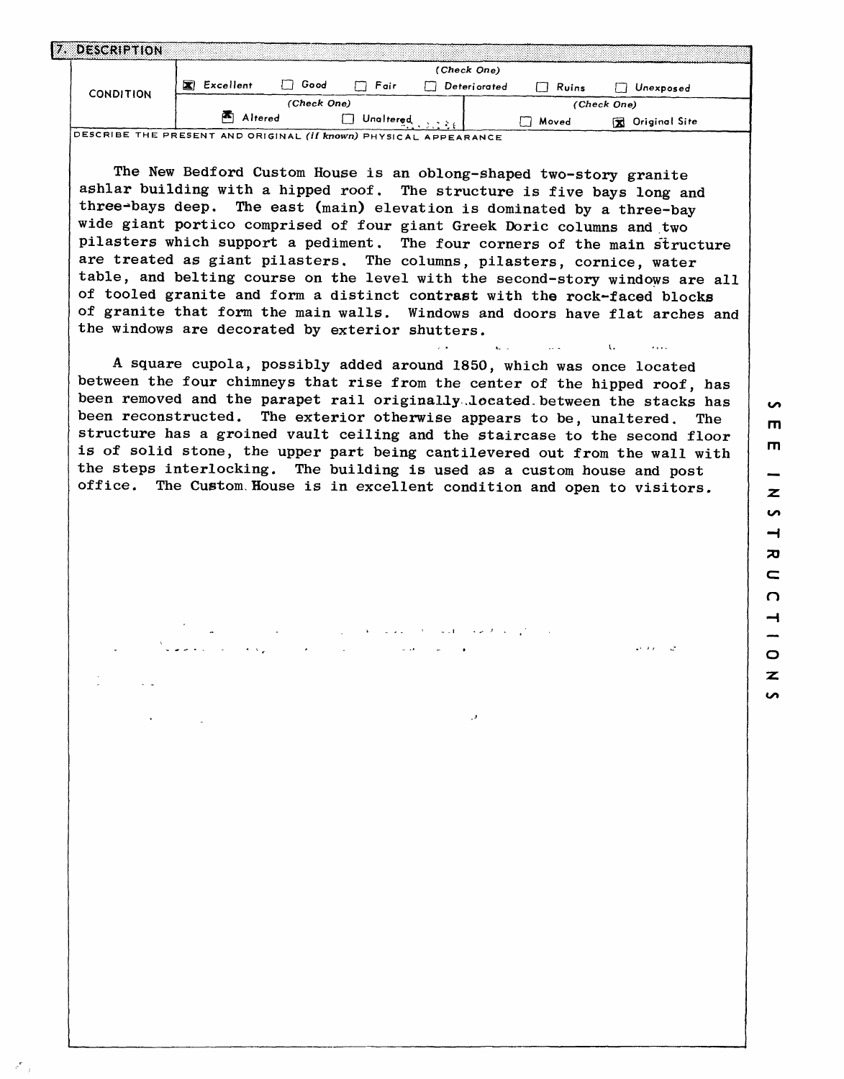| 12 O | <b>DESCRIPTION:</b> |           |             |           |              |       |                          |  |
|------|---------------------|-----------|-------------|-----------|--------------|-------|--------------------------|--|
|      | <b>CONDITION</b>    | Excellent | Good        | Fair      | (Check One)  |       |                          |  |
|      |                     | ×         | (Check One) |           | Deteriorated | Ruins | Unexposed<br>(Check One) |  |
|      |                     | Altered   |             | Unaltered |              | Moved | Original Site<br>x       |  |

DESCRIBE THE PRESENT AND ORIGINAL (if known) PHYSICAL APPEARANCE

The New Bedford Custom House is an oblong-shaped two-story granite ashlar building with a hipped roof. The structure is five bays long and three-bays deep. The east (main) elevation is dominated by a three-bay wide giant portico comprised of four giant Greek Doric columns and two pilasters which support a pediment. The four corners of the main structure are treated as giant pilasters. The columns, pilasters, cornice, water table, and belting course on the level with the second-story windows are all of tooled granite and form a distinct contrast with the rock-faced blocks of granite that form the main walls. Windows and doors have flat arches and the windows are decorated by exterior shutters.

A square cupola, possibly added around 1850, which was once located between the four chimneys that rise from the center of the hipped roof, has been removed and the parapet rail originally.located.between the stacks has been reconstructed. The exterior otherwise appears to be, unaltered. The structure has a groined vault ceiling and the staircase to the second floor is of solid stone, the upper part being cantilevered out from the wall with the steps interlocking. The building is used as a custom house and post office. The Custom.House is in excellent condition and open to visitors.

 $\mathbf{L}$ 

i.

 $\mathbf{u}$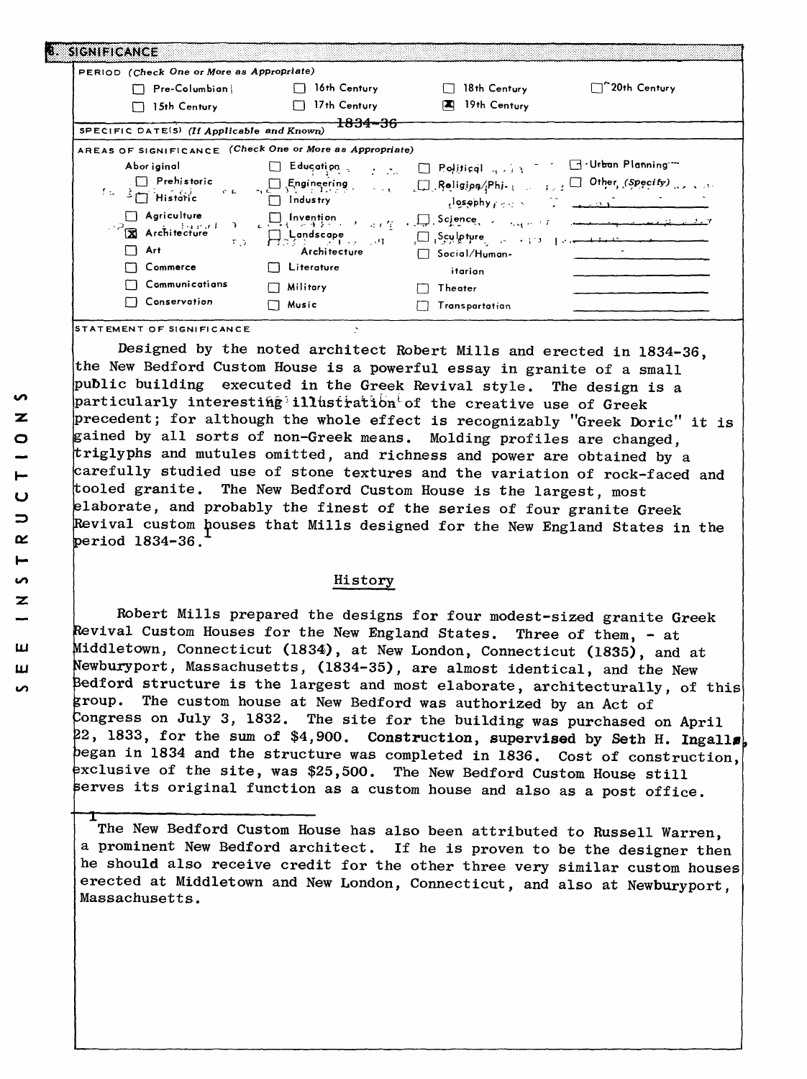| PERIOD (Check One or More as Appropriate)                               |                     |                                              |                                                                                                                                                                                                                                                                                                                                                                                                                                                                                                                                   |
|-------------------------------------------------------------------------|---------------------|----------------------------------------------|-----------------------------------------------------------------------------------------------------------------------------------------------------------------------------------------------------------------------------------------------------------------------------------------------------------------------------------------------------------------------------------------------------------------------------------------------------------------------------------------------------------------------------------|
| $\Box$ Pre-Columbian                                                    | $\Box$ 16th Century | 18th Century                                 | ``20th Century                                                                                                                                                                                                                                                                                                                                                                                                                                                                                                                    |
| 15th Century                                                            | 17th Century        | 19th Century<br><b>EX</b>                    |                                                                                                                                                                                                                                                                                                                                                                                                                                                                                                                                   |
|                                                                         | <del>1834-36</del>  |                                              |                                                                                                                                                                                                                                                                                                                                                                                                                                                                                                                                   |
| SPECIFIC DATE(S) (If Applicable and Known)                              |                     |                                              |                                                                                                                                                                                                                                                                                                                                                                                                                                                                                                                                   |
| AREAS OF SIGNIFICANCE (Check One or More as Appropriate)                |                     |                                              |                                                                                                                                                                                                                                                                                                                                                                                                                                                                                                                                   |
| Abor iginal                                                             | Education           | 7 20 D Political 4 13 none of Urban Planning |                                                                                                                                                                                                                                                                                                                                                                                                                                                                                                                                   |
| $\Box$ Prehistoric                                                      |                     |                                              |                                                                                                                                                                                                                                                                                                                                                                                                                                                                                                                                   |
| $\mathcal{R}^{\mathcal{A}}(\mathbf{E})$ .<br>$1 - \frac{3}{2}$ Historic | $\Box$ Industry     | dosophy property to the second               |                                                                                                                                                                                                                                                                                                                                                                                                                                                                                                                                   |
| $\Box$ Agriculture                                                      |                     |                                              |                                                                                                                                                                                                                                                                                                                                                                                                                                                                                                                                   |
| $\overrightarrow{\mathbf{X}}$ Architecture                              |                     |                                              | $\begin{array}{ccccccccc}\n\bullet & \text{L1}\n\end{array}\n\begin{array}{ccccccccc}\n\bullet & \text{L2}\n\end{array}\n\begin{array}{ccccccccc}\n\bullet & \text{L3}\n\end{array}\n\begin{array}{ccccccccc}\n\bullet & \text{L4}\n\end{array}\n\begin{array}{ccccccccc}\n\bullet & \text{L5}\n\end{array}\n\begin{array}{ccccccccc}\n\bullet & \text{L4}\n\end{array}\n\begin{array}{ccccccccc}\n\bullet & \text{L5}\n\end{array}\n\begin{array}{ccccccccc}\n\bullet & \text{L4}\n\end{array}\n\end{array}\n\begin{array}{cccc$ |
| Art                                                                     | Architecture        | Social/Human-                                |                                                                                                                                                                                                                                                                                                                                                                                                                                                                                                                                   |
| Commerce                                                                | $\Box$ Literature   | itarian                                      |                                                                                                                                                                                                                                                                                                                                                                                                                                                                                                                                   |
| Communications                                                          | Military            | Theater                                      |                                                                                                                                                                                                                                                                                                                                                                                                                                                                                                                                   |
| Conservation                                                            | <b>□ Music</b>      | Transpartation                               |                                                                                                                                                                                                                                                                                                                                                                                                                                                                                                                                   |

**EMENT OF SIGNIFICANCE** 

Designed by the noted architect Robert Mills and erected in 1834-36, the New Bedford Custom House is a powerful essay in granite of a small public building executed in the Greek Revival style. The design is a particularly interesting illustration of the creative use of Greek precedent; for although the whole effect is recognizably "Greek Doric" it is gained by all sorts of non-Greek means. Molding profiles are changed, triglyphs and mutules omitted, and richness and power are obtained by a arefully studied use of stone textures and the variation of rock-faced and tooled granite. The New Bedford Custom House is the largest, most laborate, and probably the finest of the series of four granite Greek Revival custom houses that Mills designed for the New England States in the period 1834-36.

## History

Robert Mills prepared the designs for four modest-sized granite Greek Revival Custom Houses for the New England States. Three of them, - at Middletown, Connecticut (1834), at New London, Connecticut (1835), and at fewburyport, Massachusetts, (1834-35), are almost identical, and the New Bedford structure is the largest and most elaborate, architecturally, of this group. The custom house at New Bedford was authorized by an Act of Congress on July 3, 1832. The site for the building was purchased on April 22, 1833, for the sum of \$4,900. Construction, supervised by Seth H. Ingalls began in 1834 and the structure was completed in 1836. Cost of construction, exclusive of the site, was \$25,500. The New Bedford Custom House still serves its original function as a custom house and also as a post office.

The New Bedford Custom House has also been attributed to Russell Warren, a prominent New Bedford architect. If he is proven to be the designer then he should also receive credit for the other three very similar custom houses erected at Middletown and New London, Connecticut, and also at Newburyport, Massachusetts.